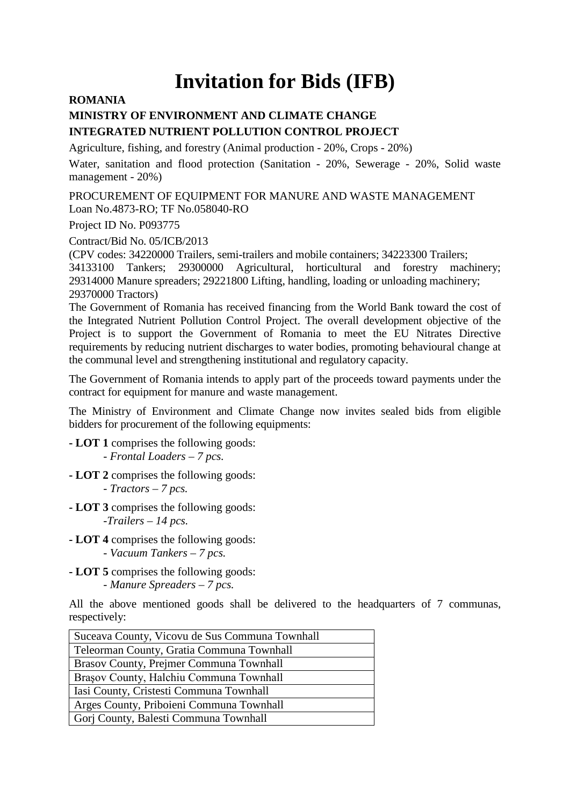## **Invitation for Bids (IFB)**

## **ROMANIA**

## **MINISTRY OF ENVIRONMENT AND CLIMATE CHANGE INTEGRATED NUTRIENT POLLUTION CONTROL PROJECT**

Agriculture, fishing, and forestry (Animal production - 20%, Crops - 20%)

Water, sanitation and flood protection (Sanitation - 20%, Sewerage - 20%, Solid waste management - 20%)

PROCUREMENT OF EQUIPMENT FOR MANURE AND WASTE MANAGEMENT Loan No.4873-RO; TF No.058040-RO

Project ID No. P093775

Contract/Bid No. 05/ICB/2013

(CPV codes: 34220000 Trailers, semi-trailers and mobile containers; 34223300 Trailers;

34133100 Tankers; 29300000 Agricultural, horticultural and forestry machinery; 29314000 Manure spreaders; 29221800 Lifting, handling, loading or unloading machinery; 29370000 Tractors)

The Government of Romania has received financing from the World Bank toward the cost of the Integrated Nutrient Pollution Control Project. The overall development objective of the Project is to support the Government of Romania to meet the EU Nitrates Directive requirements by reducing nutrient discharges to water bodies, promoting behavioural change at the communal level and strengthening institutional and regulatory capacity.

The Government of Romania intends to apply part of the proceeds toward payments under the contract for equipment for manure and waste management.

The Ministry of Environment and Climate Change now invites sealed bids from eligible bidders for procurement of the following equipments:

**- LOT 1** comprises the following goods: *- Frontal Loaders – 7 pcs.*

- **- LOT 2** comprises the following goods: *- Tractors – 7 pcs.*
- **- LOT 3** comprises the following goods: *-Trailers – 14 pcs.*
- **- LOT 4** comprises the following goods: *- Vacuum Tankers – 7 pcs.*
- **- LOT 5** comprises the following goods: *- Manure Spreaders – 7 pcs.*

All the above mentioned goods shall be delivered to the headquarters of 7 communas, respectively:

| Suceava County, Vicovu de Sus Communa Townhall |
|------------------------------------------------|
| Teleorman County, Gratia Communa Townhall      |
| Brasov County, Prejmer Communa Townhall        |
| Brașov County, Halchiu Communa Townhall        |
| Iasi County, Cristesti Communa Townhall        |
| Arges County, Priboieni Communa Townhall       |
| Gorj County, Balesti Communa Townhall          |